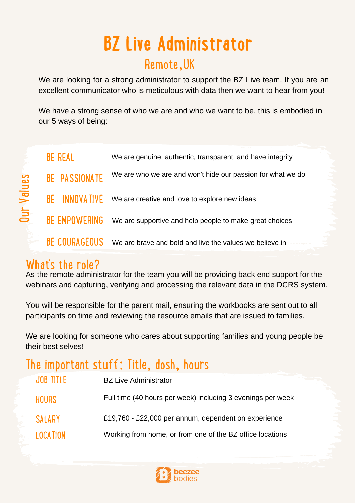# Remote,UK **BZ Live Administrator**

We are looking for a strong administrator to support the BZ Live team. If you are an excellent communicator who is meticulous with data then we want to hear from you!

We have a strong sense of who we are and who we want to be, this is embodied in our 5 ways of being:

|                        | <b>BE REAL</b>       | We are genuine, authentic, transparent, and have integrity  |
|------------------------|----------------------|-------------------------------------------------------------|
| dlues<br>$\bar{\bf 3}$ | <b>BE PASSIONATE</b> | We are who we are and won't hide our passion for what we do |
|                        | <b>BE INNOVATIVE</b> | We are creative and love to explore new ideas               |
|                        | <b>BE EMPOWERING</b> | We are supportive and help people to make great choices     |
|                        | BE COURAGEOUS        | We are brave and bold and live the values we believe in     |

#### What's the role?

> As the remote administrator for the team you will be providing back end support for the webinars and capturing, verifying and processing the relevant data in the DCRS system.

You will be responsible for the parent mail, ensuring the workbooks are sent out to all participants on time and reviewing the resource emails that are issued to families.

We are looking for someone who cares about supporting families and young people be their best selves!

# The important stuff: Title, dosh, hours

| <b>JOB TITLE</b> | <b>BZ Live Administrator</b>                                |
|------------------|-------------------------------------------------------------|
| <b>HOURS</b>     | Full time (40 hours per week) including 3 evenings per week |
| <b>SALARY</b>    | £19,760 - £22,000 per annum, dependent on experience        |
| <b>LOCATION</b>  | Working from home, or from one of the BZ office locations   |

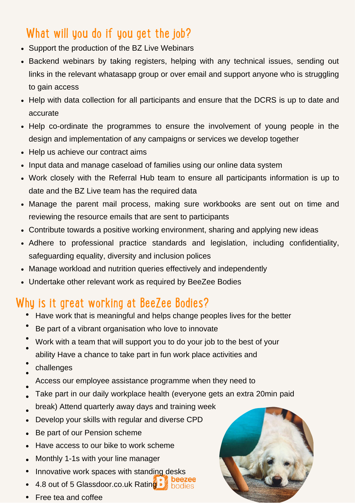# What will you do if you get the job?

- Support the production of the BZ Live Webinars
- Backend webinars by taking registers, helping with any technical issues, sending out links in the relevant whatasapp group or over email and support anyone who is struggling to gain access
- Help with data collection for all participants and ensure that the DCRS is up to date and accurate
- Help co-ordinate the programmes to ensure the involvement of young people in the design and implementation of any campaigns or services we develop together
- Help us achieve our contract aims
- Input data and manage caseload of families using our online data system
- Work closely with the Referral Hub team to ensure all participants information is up to date and the BZ Live team has the required data
- Manage the parent mail process, making sure workbooks are sent out on time and reviewing the resource emails that are sent to participants
- Contribute towards a positive working environment, sharing and applying new ideas
- Adhere to professional practice standards and legislation, including confidentiality, safeguarding equality, diversity and inclusion polices
- Manage workload and nutrition queries effectively and independently
- Undertake other relevant work as required by BeeZee Bodies

#### Why is it great working at BeeZee Bodies?

- Have work that is meaningful and helps change peoples lives for the better
- Be part of a vibrant organisation who love to innovate
- Work with a team that will support you to do your job to the best of your  $\bullet$
- ability Have a chance to take part in fun work place activities and
- challenges
- Access our employee assistance programme when they need to
- Take part in our daily workplace health (everyone gets an extra 20min paid
- break) Attend quarterly away days and training week
- Develop your skills with regular and diverse CPD  $\bullet$
- Be part of our Pension scheme  $\bullet$
- Have access to our bike to work scheme  $\bullet$
- Monthly 1-1s with your line manager  $\bullet$
- Innovative work spaces with standing desks
- 4.8 out of 5 Glassdoor.co.uk Rating
- Free tea and coffee

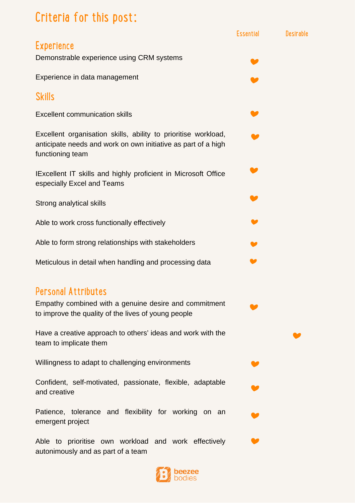# Criteria for this post:

|                                                                                                                                                     | <b>Essential</b> | <b>Desirable</b> |
|-----------------------------------------------------------------------------------------------------------------------------------------------------|------------------|------------------|
| <b>Experience</b><br>Demonstrable experience using CRM systems                                                                                      |                  |                  |
| Experience in data management                                                                                                                       |                  |                  |
| <b>Skills</b>                                                                                                                                       |                  |                  |
| <b>Excellent communication skills</b>                                                                                                               |                  |                  |
| Excellent organisation skills, ability to prioritise workload,<br>anticipate needs and work on own initiative as part of a high<br>functioning team |                  |                  |
| IExcellent IT skills and highly proficient in Microsoft Office<br>especially Excel and Teams                                                        |                  |                  |
| Strong analytical skills                                                                                                                            |                  |                  |
| Able to work cross functionally effectively                                                                                                         |                  |                  |
| Able to form strong relationships with stakeholders                                                                                                 |                  |                  |
| Meticulous in detail when handling and processing data                                                                                              |                  |                  |
| <b>Personal Attributes</b><br>Empathy combined with a genuine desire and commitment<br>to improve the quality of the lives of young people          |                  |                  |
| Have a creative approach to others' ideas and work with the<br>team to implicate them                                                               |                  |                  |
| Willingness to adapt to challenging environments                                                                                                    |                  |                  |
| Confident, self-motivated, passionate, flexible, adaptable<br>and creative                                                                          |                  |                  |
| Patience, tolerance and flexibility for working on an<br>emergent project                                                                           |                  |                  |
| Able to prioritise own workload and work effectively<br>autonimously and as part of a team                                                          |                  |                  |
|                                                                                                                                                     |                  |                  |